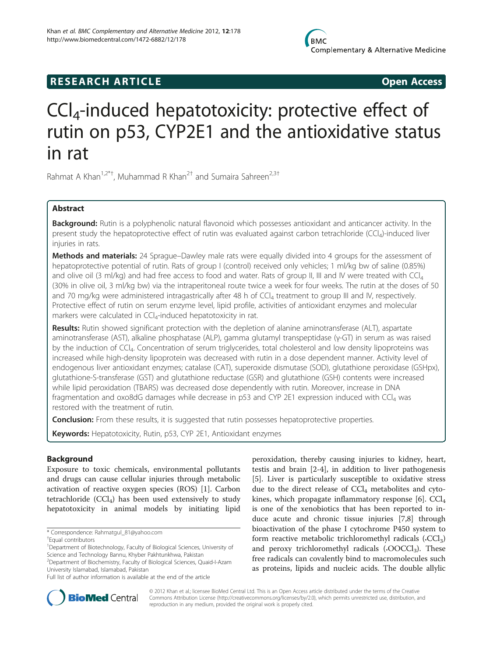## **RESEARCH ARTICLE Example 2018 Open Access**

# CCl4-induced hepatotoxicity: protective effect of rutin on p53, CYP2E1 and the antioxidative status in rat

Rahmat A Khan<sup>1,2\*†</sup>, Muhammad R Khan<sup>2†</sup> and Sumaira Sahreen<sup>2,3†</sup>

## Abstract

Background: Rutin is a polyphenolic natural flavonoid which possesses antioxidant and anticancer activity. In the present study the hepatoprotective effect of rutin was evaluated against carbon tetrachloride (CCl<sub>4</sub>)-induced liver injuries in rats.

Methods and materials: 24 Sprague–Dawley male rats were equally divided into 4 groups for the assessment of hepatoprotective potential of rutin. Rats of group I (control) received only vehicles; 1 ml/kg bw of saline (0.85%) and olive oil (3 ml/kg) and had free access to food and water. Rats of group II, III and IV were treated with  $\text{Cl}_4$ (30% in olive oil, 3 ml/kg bw) via the intraperitoneal route twice a week for four weeks. The rutin at the doses of 50 and 70 mg/kg were administered intragastrically after 48 h of CCl<sub>4</sub> treatment to group III and IV, respectively. Protective effect of rutin on serum enzyme level, lipid profile, activities of antioxidant enzymes and molecular markers were calculated in CCI<sub>4</sub>-induced hepatotoxicity in rat.

Results: Rutin showed significant protection with the depletion of alanine aminotransferase (ALT), aspartate aminotransferase (AST), alkaline phosphatase (ALP), gamma glutamyl transpeptidase (γ-GT) in serum as was raised by the induction of CCI<sub>4</sub>. Concentration of serum triglycerides, total cholesterol and low density lipoproteins was increased while high-density lipoprotein was decreased with rutin in a dose dependent manner. Activity level of endogenous liver antioxidant enzymes; catalase (CAT), superoxide dismutase (SOD), glutathione peroxidase (GSHpx), glutathione-S-transferase (GST) and glutathione reductase (GSR) and glutathione (GSH) contents were increased while lipid peroxidation (TBARS) was decreased dose dependently with rutin. Moreover, increase in DNA fragmentation and oxo8dG damages while decrease in p53 and CYP 2E1 expression induced with CCl<sub>4</sub> was restored with the treatment of rutin.

**Conclusion:** From these results, it is suggested that rutin possesses hepatoprotective properties.

Keywords: Hepatotoxicity, Rutin, p53, CYP 2E1, Antioxidant enzymes

## Background

Exposure to toxic chemicals, environmental pollutants and drugs can cause cellular injuries through metabolic activation of reactive oxygen species (ROS) [[1\]](#page-4-0). Carbon tetrachloride  $(CCl<sub>4</sub>)$  has been used extensively to study hepatotoxicity in animal models by initiating lipid

peroxidation, thereby causing injuries to kidney, heart, testis and brain [\[2-4\]](#page-4-0), in addition to liver pathogenesis [[5\]](#page-4-0). Liver is particularly susceptible to oxidative stress due to the direct release of  $\text{CCl}_4$  metabolites and cytokines, which propagate inflammatory response  $[6]$  $[6]$ . CCl<sub>4</sub> is one of the xenobiotics that has been reported to induce acute and chronic tissue injuries [[7,8\]](#page-4-0) through bioactivation of the phase I cytochrome P450 system to form reactive metabolic trichloromethyl radicals  $(CCl<sub>3</sub>)$ and peroxy trichloromethyl radicals  $(0.00CCl<sub>3</sub>)$ . These free radicals can covalently bind to macromolecules such as proteins, lipids and nucleic acids. The double allylic



© 2012 Khan et al.; licensee BioMed Central Ltd. This is an Open Access article distributed under the terms of the Creative Commons Attribution License [\(http://creativecommons.org/licenses/by/2.0\)](http://creativecommons.org/licenses/by/2.0), which permits unrestricted use, distribution, and reproduction in any medium, provided the original work is properly cited.

<sup>\*</sup> Correspondence: [Rahmatgul\\_81@yahoo.com](mailto:Rahmatgul_81@yahoo.com) †

Equal contributors

<sup>&</sup>lt;sup>1</sup>Department of Biotechnology, Faculty of Biological Sciences, University of Science and Technology Bannu, Khyber Pakhtunkhwa, Pakistan 2 Department of Biochemistry, Faculty of Biological Sciences, Quaid-I-Azam University Islamabad, Islamabad, Pakistan

Full list of author information is available at the end of the article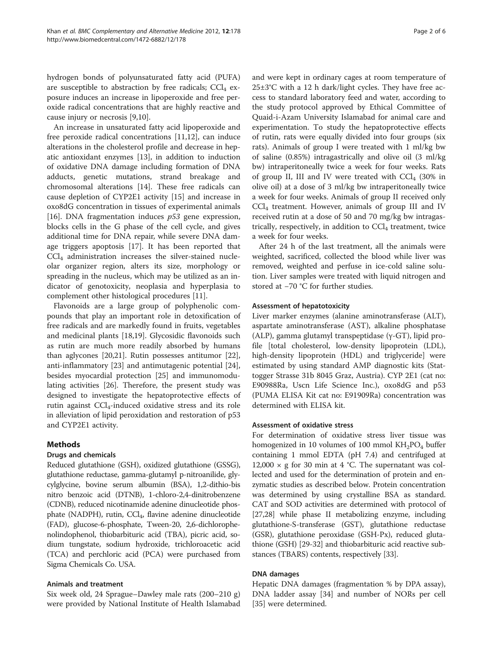hydrogen bonds of polyunsaturated fatty acid (PUFA) are susceptible to abstraction by free radicals;  $CCl<sub>4</sub>$  exposure induces an increase in lipoperoxide and free peroxide radical concentrations that are highly reactive and cause injury or necrosis [[9,10\]](#page-4-0).

An increase in unsaturated fatty acid lipoperoxide and free peroxide radical concentrations [\[11,12\]](#page-4-0), can induce alterations in the cholesterol profile and decrease in hepatic antioxidant enzymes [[13\]](#page-4-0), in addition to induction of oxidative DNA damage including formation of DNA adducts, genetic mutations, strand breakage and chromosomal alterations [\[14\]](#page-4-0). These free radicals can cause depletion of CYP2E1 activity [\[15\]](#page-4-0) and increase in oxo8dG concentration in tissues of experimental animals [[16\]](#page-4-0). DNA fragmentation induces  $p53$  gene expression, blocks cells in the G phase of the cell cycle, and gives additional time for DNA repair, while severe DNA damage triggers apoptosis [\[17](#page-4-0)]. It has been reported that CCl4 administration increases the silver-stained nucleolar organizer region, alters its size, morphology or spreading in the nucleus, which may be utilized as an indicator of genotoxicity, neoplasia and hyperplasia to complement other histological procedures [[11\]](#page-4-0).

Flavonoids are a large group of polyphenolic compounds that play an important role in detoxification of free radicals and are markedly found in fruits, vegetables and medicinal plants [\[18,19\]](#page-4-0). Glycosidic flavonoids such as rutin are much more readily absorbed by humans than aglycones [\[20,21\]](#page-5-0). Rutin possesses antitumor [\[22](#page-5-0)], anti-inflammatory [\[23\]](#page-5-0) and antimutagenic potential [\[24](#page-5-0)], besides myocardial protection [[25\]](#page-5-0) and immunomodulating activities [\[26\]](#page-5-0). Therefore, the present study was designed to investigate the hepatoprotective effects of rutin against  $\text{CCl}_4$ -induced oxidative stress and its role in alleviation of lipid peroxidation and restoration of p53 and CYP2E1 activity.

## Methods

## Drugs and chemicals

Reduced glutathione (GSH), oxidized glutathione (GSSG), glutathione reductase, gamma-glutamyl p-nitroanilide, glycylglycine, bovine serum albumin (BSA), 1,2-dithio-bis nitro benzoic acid (DTNB), 1-chloro-2,4-dinitrobenzene (CDNB), reduced nicotinamide adenine dinucleotide phosphate (NADPH), rutin, CCl<sub>4</sub>, flavine adenine dinucleotide (FAD), glucose-6-phosphate, Tween-20, 2,6-dichlorophenolindophenol, thiobarbituric acid (TBA), picric acid, sodium tungstate, sodium hydroxide, trichloroacetic acid (TCA) and perchloric acid (PCA) were purchased from Sigma Chemicals Co. USA.

#### Animals and treatment

Six week old, 24 Sprague–Dawley male rats (200–210 g) were provided by National Institute of Health Islamabad

and were kept in ordinary cages at room temperature of 25±3°C with a 12 h dark/light cycles. They have free access to standard laboratory feed and water, according to the study protocol approved by Ethical Committee of Quaid-i-Azam University Islamabad for animal care and experimentation. To study the hepatoprotective effects of rutin, rats were equally divided into four groups (six rats). Animals of group I were treated with 1 ml/kg bw of saline (0.85%) intragastrically and olive oil (3 ml/kg bw) intraperitoneally twice a week for four weeks. Rats of group II, III and IV were treated with  $CCl<sub>4</sub>$  (30% in olive oil) at a dose of 3 ml/kg bw intraperitoneally twice a week for four weeks. Animals of group II received only CCl4 treatment. However, animals of group III and IV received rutin at a dose of 50 and 70 mg/kg bw intragastrically, respectively, in addition to  $CCl<sub>4</sub>$  treatment, twice a week for four weeks.

After 24 h of the last treatment, all the animals were weighted, sacrificed, collected the blood while liver was removed, weighted and perfuse in ice-cold saline solution. Liver samples were treated with liquid nitrogen and stored at −70 °C for further studies.

#### Assessment of hepatotoxicity

Liver marker enzymes (alanine aminotransferase (ALT), aspartate aminotransferase (AST), alkaline phosphatase (ALP), gamma glutamyl transpeptidase (γ-GT), lipid profile [total cholesterol, low-density lipoprotein (LDL), high-density lipoprotein (HDL) and triglyceride] were estimated by using standard AMP diagnostic kits (Stattogger Strasse 31b 8045 Graz, Austria). CYP 2E1 (cat no: E90988Ra, Uscn Life Science Inc.), oxo8dG and p53 (PUMA ELISA Kit cat no: E91909Ra) concentration was determined with ELISA kit.

## Assessment of oxidative stress

For determination of oxidative stress liver tissue was homogenized in 10 volumes of 100 mmol  $KH_2PO_4$  buffer containing 1 mmol EDTA (pH 7.4) and centrifuged at 12,000  $\times$  g for 30 min at 4 °C. The supernatant was collected and used for the determination of protein and enzymatic studies as described below. Protein concentration was determined by using crystalline BSA as standard. CAT and SOD activities are determined with protocol of [[27](#page-5-0),[28](#page-5-0)] while phase II metabolizing enzyme, including glutathione-S-transferase (GST), glutathione reductase (GSR), glutathione peroxidase (GSH-Px), reduced glutathione (GSH) [[29](#page-5-0)-[32](#page-5-0)] and thiobarbituric acid reactive substances (TBARS) contents, respectively [\[33\]](#page-5-0).

#### DNA damages

Hepatic DNA damages (fragmentation % by DPA assay), DNA ladder assay [[34\]](#page-5-0) and number of NORs per cell [[35\]](#page-5-0) were determined.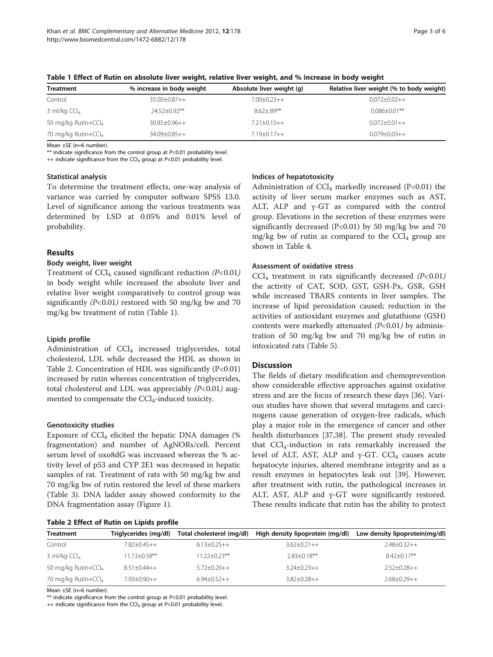| <b>Treatment</b>                | % increase in body weight | Absolute liver weight (g) | Relative liver weight (% to body weight) |
|---------------------------------|---------------------------|---------------------------|------------------------------------------|
| Control                         | $35.00 \pm 0.87 + +$      | $7.00 \pm 0.23 + +$       | $0.072 \pm 0.02 + +$                     |
| 3 ml/kg $CCl4$                  | $24.52 + 0.92$ **         | $8.62 + .89**$            | $0.086 + 0.01$ **                        |
| 50 mg/kg Rutin+CCl <sub>4</sub> | $30.85 \pm 0.96 + +$      | $7.21 \pm 0.15++$         | $0.072 \pm 0.01 + +$                     |
| 70 mg/kg Rutin+CCl <sub>4</sub> | 34.09±0.85++              | $7.19 + 0.17 + +$         | $0.079 \pm 0.03 + +$                     |

Table 1 Effect of Rutin on absolute liver weight, relative liver weight, and % increase in body weight

Mean ±SE (n=6 number).

\*\* indicate significance from the control group at P<0.01 probability level.

++ indicate significance from the CCl<sub>4</sub> group at  $P<0.01$  probability level.

#### Statistical analysis

To determine the treatment effects, one-way analysis of variance was carried by computer software SPSS 13.0. Level of significance among the various treatments was determined by LSD at 0.05% and 0.01% level of probability.

## Results

#### Body weight, liver weight

Treatment of  $\text{CCl}_4$  caused significant reduction (P<0.01) in body weight while increased the absolute liver and relative liver weight comparatively to control group was significantly  $(P<0.01)$  restored with 50 mg/kg bw and 70 mg/kg bw treatment of rutin (Table 1).

#### Lipids profile

Administration of  $\text{CCl}_4$  increased triglycerides, total cholesterol, LDL while decreased the HDL as shown in Table 2. Concentration of HDL was significantly  $(P<0.01)$ increased by rutin whereas concentration of triglycerides, total cholesterol and LDL was appreciably  $(P<0.01)$  augmented to compensate the  $\text{CCl}_4$ -induced toxicity.

#### Genotoxicity studies

Exposure of  $\text{CCl}_4$  elicited the hepatic DNA damages (% fragmentation) and number of AgNORs/cell. Percent serum level of oxo8dG was increased whereas the % activity level of p53 and CYP 2E1 was decreased in hepatic samples of rat. Treatment of rats with 50 mg/kg bw and 70 mg/kg bw of rutin restored the level of these markers (Table [3](#page-3-0)). DNA ladder assay showed conformity to the DNA fragmentation assay (Figure [1](#page-3-0)).

## Table 2 Effect of Rutin on Lipids profile

## Indices of hepatotoxicity

Administration of  $CCl_4$  markedly increased (P<0.01) the activity of liver serum marker enzymes such as AST, ALT, ALP and γ-GT as compared with the control group. Elevations in the secretion of these enzymes were significantly decreased (P<0.01) by 50 mg/kg bw and 70 mg/kg bw of rutin as compared to the  $CCl<sub>4</sub>$  group are shown in Table [4.](#page-4-0)

#### Assessment of oxidative stress

 $\text{CCl}_4$  treatment in rats significantly decreased (P<0.01) the activity of CAT, SOD, GST, GSH-Px, GSR, GSH while increased TBARS contents in liver samples. The increase of lipid peroxidation caused; reduction in the activities of antioxidant enzymes and glutathione (GSH) contents were markedly attenuated  $(P<0.01)$  by administration of 50 mg/kg bw and 70 mg/kg bw of rutin in intoxicated rats (Table [5](#page-4-0)).

#### **Discussion**

The fields of dietary modification and chemoprevention show considerable effective approaches against oxidative stress and are the focus of research these days [\[36\]](#page-5-0). Various studies have shown that several mutagens and carcinogens cause generation of oxygen-free radicals, which play a major role in the emergence of cancer and other health disturbances [[37,38](#page-5-0)]. The present study revealed that  $CCl<sub>4</sub>$ -induction in rats remarkably increased the level of ALT, AST, ALP and  $γ$ -GT. CCl<sub>4</sub> causes acute hepatocyte injuries, altered membrane integrity and as a result enzymes in hepatocytes leak out [[39](#page-5-0)]. However, after treatment with rutin, the pathological increases in ALT, AST, ALP and γ-GT were significantly restored. These results indicate that rutin has the ability to protect

| <b>Treatment</b>                | Triglycerides (mg/dl) | Total cholesterol (mg/dl) | High density lipoprotein (mg/dl) | Low density lipoprotein(mg/dl) |
|---------------------------------|-----------------------|---------------------------|----------------------------------|--------------------------------|
| Control                         | $7.82 + 0.45 + +$     | $6.13 \pm 0.25 + +$       | $3.62 \pm 0.21 + +$              | $2.48 \pm 0.32 + +$            |
| 3 ml/kg $CCl4$                  | $11.13 + 0.58$ **     | $11.22 + 0.23**$          | $2.83 + 0.18$ **                 | $8.42 + 0.17**$                |
| 50 mg/kg Rutin+CCl <sub>4</sub> | $8.51+0.44++$         | $5.72+0.20++$             | $3.24 + 0.23 + +$                | $2.52+0.28++$                  |
| 70 mg/kg Rutin+CCl4             | $7.93 + 0.90 + +$     | $6.94 \pm 0.52 + +$       | $3.82 \pm 0.28 + +$              | $2.68 \pm 0.29++$              |

Mean ±SE (n=6 number).

\*\* indicate significance from the control group at  $P<0.01$  probability level.

 $++$  indicate significance from the CCl<sub>4</sub> group at  $P<0.01$  probability level.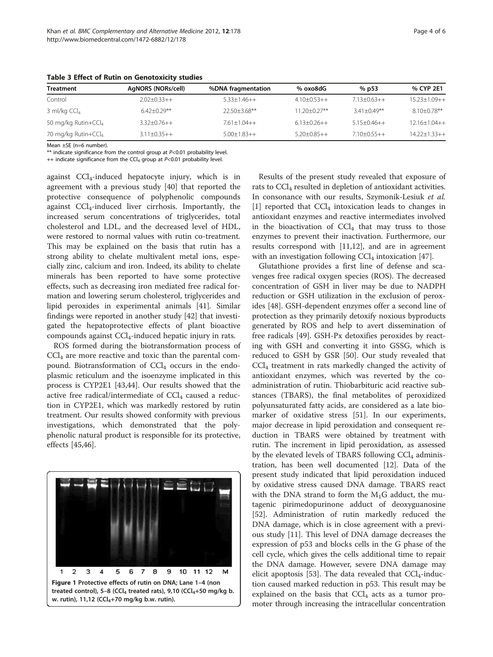| <b>Treatment</b>                | AgNORS (NORs/cell)  | %DNA fragmentation  | % oxo8dG      | $%$ p53         | % CYP 2E1          |
|---------------------------------|---------------------|---------------------|---------------|-----------------|--------------------|
| Control                         | $2.02+0.33++$       | $5.33+1.46++$       | $4.10+0.53++$ | $7.13+0.63++$   | $15.23 + 1.09 + +$ |
| 3 ml/kg $CCl4$                  | $6.42 + 0.29**$     | $22.50 + 3.68$ **   | 11.20+0.27**  | $3.41 + 0.49**$ | $8.10 + 0.78$ **   |
| 50 mg/kg Rutin+CCl <sub>4</sub> | $3.32+0.76++$       | $7.61+1.04++$       | $6.13+0.26++$ | $5.15+0.46++$   | $12.16 + 1.04 + +$ |
| 70 mg/kg Rutin+CCl <sub>4</sub> | $3.11 \pm 0.35 + +$ | $5.00 \pm 1.83 + +$ | $5.20+0.85++$ | $7.10+0.55++$   | $14.22 + 1.33 + +$ |

<span id="page-3-0"></span>Table 3 Effect of Rutin on Genotoxicity studies

Mean ±SE (n=6 number).

\*\* indicate significance from the control group at P<0.01 probability level.

++ indicate significance from the CCl<sub>4</sub> group at  $P<0.01$  probability level.

against  $CCl<sub>4</sub>$ -induced hepatocyte injury, which is in agreement with a previous study [[40](#page-5-0)] that reported the protective consequence of polyphenolic compounds against CCl4-induced liver cirrhosis. Importantly, the increased serum concentrations of triglycerides, total cholesterol and LDL, and the decreased level of HDL, were restored to normal values with rutin co-treatment. This may be explained on the basis that rutin has a strong ability to chelate multivalent metal ions, especially zinc, calcium and iron. Indeed, its ability to chelate minerals has been reported to have some protective effects, such as decreasing iron mediated free radical formation and lowering serum cholesterol, triglycerides and lipid peroxides in experimental animals [\[41](#page-5-0)]. Similar findings were reported in another study [[42](#page-5-0)] that investigated the hepatoprotective effects of plant bioactive compounds against  $\text{CCl}_4$ -induced hepatic injury in rats.

ROS formed during the biotransformation process of  $CCl<sub>4</sub>$  are more reactive and toxic than the parental compound. Biotransformation of  $\text{CCl}_4$  occurs in the endoplasmic reticulum and the isoenzyme implicated in this process is CYP2E1 [[43](#page-5-0),[44](#page-5-0)]. Our results showed that the active free radical/intermediate of  $CCl<sub>4</sub>$  caused a reduction in CYP2E1, which was markedly restored by rutin treatment. Our results showed conformity with previous investigations, which demonstrated that the polyphenolic natural product is responsible for its protective, effects [[45,46\]](#page-5-0).



Results of the present study revealed that exposure of rats to  $\text{CCl}_4$  resulted in depletion of antioxidant activities. In consonance with our results, Szymonik-Lesiuk et al.  $[1]$  $[1]$  reported that CCl<sub>4</sub> intoxication leads to changes in antioxidant enzymes and reactive intermediates involved in the bioactivation of  $\text{CCl}_4$  that may truss to those enzymes to prevent their inactivation. Furthermore, our results correspond with [\[11,12](#page-4-0)], and are in agreement with an investigation following  $CCl<sub>4</sub>$  intoxication [\[47\]](#page-5-0).

Glutathione provides a first line of defense and scavenges free radical oxygen species (ROS). The decreased concentration of GSH in liver may be due to NADPH reduction or GSH utilization in the exclusion of peroxides [[48\]](#page-5-0). GSH-dependent enzymes offer a second line of protection as they primarily detoxify noxious byproducts generated by ROS and help to avert dissemination of free radicals [\[49](#page-5-0)]. GSH-Px detoxifies peroxides by reacting with GSH and converting it into GSSG, which is reduced to GSH by GSR [[50\]](#page-5-0). Our study revealed that CCl4 treatment in rats markedly changed the activity of antioxidant enzymes, which was reverted by the coadministration of rutin. Thiobarbituric acid reactive substances (TBARS), the final metabolites of peroxidized polyunsaturated fatty acids, are considered as a late biomarker of oxidative stress [\[51](#page-5-0)]. In our experiments, major decrease in lipid peroxidation and consequent reduction in TBARS were obtained by treatment with rutin. The increment in lipid peroxidation, as assessed by the elevated levels of TBARS following  $CCl<sub>4</sub>$  administration, has been well documented [\[12](#page-4-0)]. Data of the present study indicated that lipid peroxidation induced by oxidative stress caused DNA damage. TBARS react with the DNA strand to form the  $M_1G$  adduct, the mutagenic pirimedopurinone adduct of deoxyguanosine [[52\]](#page-5-0). Administration of rutin markedly reduced the DNA damage, which is in close agreement with a previous study [[11\]](#page-4-0). This level of DNA damage decreases the expression of p53 and blocks cells in the G phase of the cell cycle, which gives the cells additional time to repair the DNA damage. However, severe DNA damage may elicit apoptosis [\[53\]](#page-5-0). The data revealed that  $\text{CCI}_4$ -induction caused marked reduction in p53. This result may be explained on the basis that  $CCl<sub>4</sub>$  acts as a tumor promoter through increasing the intracellular concentration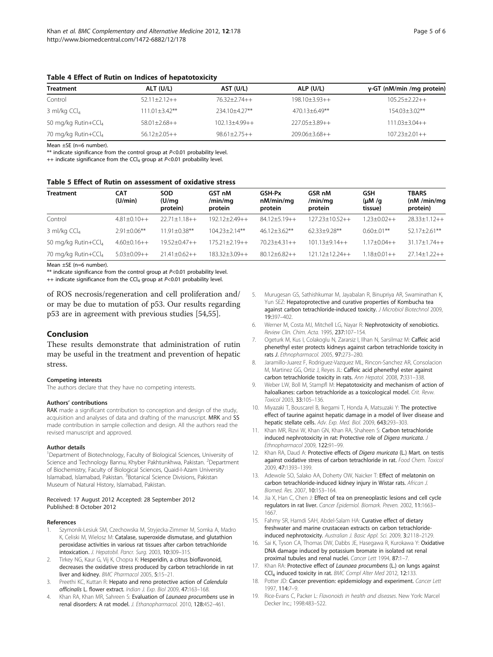| <b>Treatment</b>                | ALT (U/L)          | AST (U/L)           | ALP (U/L)           | $y$ -GT (nM/min /mg protein) |
|---------------------------------|--------------------|---------------------|---------------------|------------------------------|
| Control                         | $52.11+2.12++$     | $7637+774++$        | $198.10 + 3.93 + +$ | $105.25 + 2.22 + +$          |
| 3 ml/kg $CCl4$                  | $111.01 + 3.42$ ** | $234.10 + 4.27$ **  | $470.13 + 6.49**$   | $154.03 + 3.02$ **           |
| 50 mg/kg Rutin+CCl <sub>4</sub> | $58.01 + 2.68 + +$ | $102.13 + 4.99 + +$ | $227.05 + 3.89 + +$ | $111.03 + 3.04 + +$          |
| 70 mg/kg Rutin+CCl <sub>4</sub> | $56.12+2.05++$     | $98.61 + 2.75 + +$  | $209.06 + 3.68 + +$ | $107.23 + 2.01 + +$          |

#### <span id="page-4-0"></span>Table 4 Effect of Rutin on Indices of hepatotoxicity

Mean ±SE (n=6 number).

\*\* indicate significance from the control group at  $P<0.01$  probability level.

++ indicate significance from the CCl<sub>4</sub> group at  $P<0.01$  probability level.

#### Table 5 Effect of Rutin on assessment of oxidative stress

| <b>Treatment</b>                | <b>CAT</b><br>(U/min) | <b>SOD</b><br>(U/mq)<br>protein) | GST <sub>nM</sub><br>/min/mg<br>protein | GSH-Px<br>nM/min/mg<br>protein | GSR nM<br>/min/mg<br>protein | GSH<br>$(\mu M / q)$<br>tissue) | <b>TBARS</b><br>(nM/min/mg)<br>protein) |
|---------------------------------|-----------------------|----------------------------------|-----------------------------------------|--------------------------------|------------------------------|---------------------------------|-----------------------------------------|
| Control                         | $4.81 + 0.10 + +$     | $22.71 + 1.18 + +$               | 192.12+2.49++                           | $84.12 + 5.19 + +$             | $127.23 + 10.52 + +$         | $23+0.02++$                     | $28.33+1.12++$                          |
| 3 ml/kg $CCl4$                  | $2.91 + 0.06$ **      | $11.91 + 0.38***$                | $10423+214**$                           | $46.12 + 3.62$ **              | $62.33 + 9.28**$             | $0.60 + 01**$                   | $52.17 + 2.61***$                       |
| 50 mg/kg Rutin+CCl <sub>4</sub> | $4.60+0.16++$         | $19.52 + 0.47 + +$               | $175.21 + 2.19 + +$                     | $70.23 + 4.31 + +$             | $101.13 + 9.14 + +$          | $17+0.04++$                     | $31.17 + 1.74 + +$                      |
| 70 mg/kg Rutin+CCl <sub>4</sub> | $5.03+0.09++$         | $21.41 + 0.62 + +$               | 183.32+3.09++                           | $80.12 + 6.82 + +$             | $12112+1224++$               | $.18 + 0.01 + +$                | $27.14 + 1.22 + +$                      |

Mean ±SE (n=6 number).

\*\* indicate significance from the control group at  $P<0.01$  probability level.

 $++$  indicate significance from the CCl<sub>4</sub> group at  $P<0.01$  probability level.

of ROS necrosis/regeneration and cell proliferation and/ or may be due to mutation of p53. Our results regarding p53 are in agreement with previous studies [\[54,55](#page-5-0)].

#### Conclusion

These results demonstrate that administration of rutin may be useful in the treatment and prevention of hepatic stress.

#### Competing interests

The authors declare that they have no competing interests.

#### Authors' contributions

RAK made a significant contribution to conception and design of the study, acquisition and analyses of data and drafting of the manuscript. MRK and SS made contribution in sample collection and design. All the authors read the revised manuscript and approved.

#### Author details

<sup>1</sup>Department of Biotechnology, Faculty of Biological Sciences, University of Science and Technology Bannu, Khyber Pakhtunkhwa, Pakistan. <sup>2</sup>Department of Biochemistry, Faculty of Biological Sciences, Quaid-I-Azam University Islamabad, Islamabad, Pakistan. <sup>3</sup> Botanical Science Divisions, Pakistan Museum of Natural History, Islamabad, Pakistan.

#### Received: 17 August 2012 Accepted: 28 September 2012 Published: 8 October 2012

#### References

- 1. Szymonik-Lesiuk SM, Czechowska M, Stryjecka-Zimmer M, Somka A, Madro K, Celiski M, Wielosz M: Catalase, superoxide dismutase, and glutathion peroxidase activities in various rat tissues after carbon tetrachloride intoxication. J. Hepatobil. Pancr. Surg. 2003, 10:309–315.
- Tirkey NG, Kaur G, Vij K, Chopra K: Hesperidin, a citrus bioflavonoid, decreases the oxidative stress produced by carbon tetrachloride in rat liver and kidney. BMC Pharmacol 2005, 5:15–21.
- Preethi KC, Kuttan R: Hepato and reno protective action of Calendula officinalis L. flower extract. Indian J. Exp. Biol 2009, 47:163–168.
- 4. Khan RA, Khan MR, Sahreen S: Evaluation of Launaea procumbens use in renal disorders: A rat model. J. Ethanopharmacol. 2010, 128:452–461.
- 5. Murugesan GS, Sathishkumar M, Jayabalan R, Binupriya AR, Swaminathan K, Yun SEZ: Hepatoprotective and curative properties of Kombucha tea against carbon tetrachloride-induced toxicity. J Microbiol Biotechnol 2009, 19:397–402.
- 6. Werner M, Costa MJ, Mitchell LG, Nayar R: Nephrotoxicity of xenobiotics. Review Clin. Chim. Acta. 1995, 237:107–154.
- 7. Ogeturk M, Kus I, Colakoglu N, Zararsiz I, Ilhan N, Sarsilmaz M: Caffeic acid phenethyl ester protects kidneys against carbon tetrachloride toxicity in rats J. Ethnopharmacol. 2005, 97:273–280.
- 8. Jaramillo-Juarez F, Rodriguez-Vazquez ML, Rincon-Sanchez AR, Consolacion M, Martinez GG, Ortiz J, Reyes JL: Caffeic acid phenethyl ester against carbon tetrachloride toxicity in rats. Ann Hepatol. 2008, 7:331–338.
- 9. Weber LW, Boll M, Stampfl M: Hepatotoxicity and mechanism of action of haloalkanes: carbon tetrachloride as a toxicological model. Crit. Revw. Toxicol 2003, 33:105–136.
- 10. Miyazaki T, Bouscarel B, Ikegami T, Honda A, Matsuzaki Y: The protective effect of taurine against hepatic damage in a model of liver disease and hepatic stellate cells. Adv. Exp. Med. Biol. 2009, 643:293–303.
- 11. Khan MR, Rizvi W, Khan GN, Khan RA, Shaheen S: Carbon tetrachloride induced nephrotoxicity in rat: Protective role of Digera muricata. J Ethnopharmacol 2009, 122:91–99.
- 12. Khan RA, Daud A: Protective effects of Digera muricata (L.) Mart. on testis against oxidative stress of carbon tetrachloride in rat. Food Chem. Toxicol 2009, 47:1393–1399.
- 13. Adewole SO, Salako AA, Doherty OW, Naicker T: Effect of melatonin on carbon tetrachloride-induced kidney injury in Wistar rats. African J. Biomed. Res. 2007, 10:153–164.
- 14. Jia X, Han C, Chen J: Effect of tea on preneoplastic lesions and cell cycle regulators in rat liver. Cancer Epidemiol. Biomark. Preven. 2002, 11:1663– 1667.
- 15. Fahmy SR, Hamdi SAH, Abdel-Salam HA: Curative effect of dietary freshwater and marine crustacean extracts on carbon tetrachlorideinduced nephrotoxicity. Australian J. Basic Appl. Sci. 2009, 3:2118–2129.
- 16. Sai K, Tyson CA, Thomas DW, Dabbs JE, Hasegawa R, Kurokawa Y: Oxidative DNA damage induced by potassium bromate in isolated rat renal proximal tubules and renal nuclei. Cancer Lett 1994, 87:1-7
- 17. Khan RA: Protective effect of Launaea procumbens (L.) on lungs against CCl4 induced toxicity in rat. BMC Compl Alter Med 2012, 12:133.
- 18. Potter JD: Cancer prevention: epidemiology and experiment. Cancer Lett 1997, 114:7–9.
- 19. Rice-Evans C, Packer L: Flavonoids in health and diseases. New York: Marcel Decker Inc.; 1998:483–522.